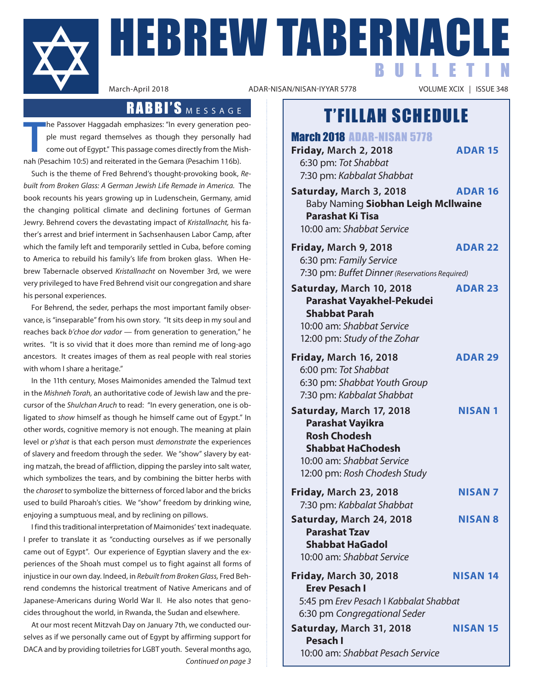

**HEBREW TABERNACLE** BULLETIN

ADAR-NISAN/NISAN-IYYAR 5778

### T'FILLAH SCHEDULE

March 2018 ADAR-NISAN 5778 **Friday, March 2, 2018 ADAR 15** 6:30 pm: *Tot Shabbat* 7:30 pm: *Kabbalat Shabbat* **Saturday, March 3, 2018 ADAR 16** Baby Naming **Siobhan Leigh Mcllwaine Parashat Ki Tisa** 10:00 am: *Shabbat Service* **Friday, March 9, 2018 ADAR 22** 6:30 pm: *Family Service* 7:30 pm: *Buffet Dinner (Reservations Required)* **Saturday, March 10, 2018 ADAR 23 Parashat Vayakhel-Pekudei Shabbat Parah** 10:00 am: *Shabbat Service* 12:00 pm: *Study of the Zohar* **Friday, March 16, 2018 ADAR 29** 6:00 pm: *Tot Shabbat* 6:30 pm: *Shabbat Youth Group* 7:30 pm: *Kabbalat Shabbat* **Saturday, March 17, 2018 NISAN 1 Parashat Vayikra Rosh Chodesh Shabbat HaChodesh** 10:00 am: *Shabbat Service* 12:00 pm: *Rosh Chodesh Study* **Friday, March 23, 2018 NISAN 7** 7:30 pm: *Kabbalat Shabbat* **Saturday, March 24, 2018 NISAN 8 Parashat Tzav Shabbat HaGadol** 10:00 am: *Shabbat Service* **Friday, March 30, 2018 NISAN 14 Erev Pesach I** 5:45 pm *Erev Pesach* I *Kabbalat Shabbat* 6:30 pm *Congregational Seder* **Saturday, March 31, 2018 NISAN 15 Pesach I**

10:00 am: *Shabbat Pesach Service*

### RABBI'S MESSAGE

**T** he Passover Haggadah emphasizes: "In every generation people must regard themselves as though they personally had come out of Egypt." This passage comes directly from the Mishnah (Pesachim 10:5) and reiterated in the Gemara (Pesachim 116b).

Such is the theme of Fred Behrend's thought-provoking book, *Rebuilt from Broken Glass: A German Jewish Life Remade in America.* The book recounts his years growing up in Ludenschein, Germany, amid the changing political climate and declining fortunes of German Jewry. Behrend covers the devastating impact of *Kristallnacht,* his father's arrest and brief interment in Sachsenhausen Labor Camp, after which the family left and temporarily settled in Cuba, before coming to America to rebuild his family's life from broken glass. When Hebrew Tabernacle observed *Kristallnacht* on November 3rd, we were very privileged to have Fred Behrend visit our congregation and share his personal experiences.

For Behrend, the seder, perhaps the most important family observance, is "inseparable" from his own story. "It sits deep in my soul and reaches back *b'choe dor vador* — from generation to generation," he writes. "It is so vivid that it does more than remind me of long-ago ancestors. It creates images of them as real people with real stories with whom I share a heritage."

In the 11th century, Moses Maimonides amended the Talmud text in the *Mishneh Torah,* an authoritative code of Jewish law and the precursor of the *Shulchan Aruch* to read: "In every generation, one is obligated to *show* himself as though he himself came out of Egypt." In other words, cognitive memory is not enough. The meaning at plain level or *p'shat* is that each person must *demonstrate* the experiences of slavery and freedom through the seder. We "show" slavery by eating matzah, the bread of affliction, dipping the parsley into salt water, which symbolizes the tears, and by combining the bitter herbs with the *charoset* to symbolize the bitterness of forced labor and the bricks used to build Pharoah's cities. We "show" freedom by drinking wine, enjoying a sumptuous meal, and by reclining on pillows.

I find this traditional interpretation of Maimonides' text inadequate. I prefer to translate it as "conducting ourselves as if we personally came out of Egypt". Our experience of Egyptian slavery and the experiences of the Shoah must compel us to fight against all forms of injustice in our own day. Indeed, in *Rebuilt from Broken Glass,* Fred Behrend condemns the historical treatment of Native Americans and of Japanese-Americans during World War II. He also notes that genocides throughout the world, in Rwanda, the Sudan and elsewhere.

At our most recent Mitzvah Day on January 7th, we conducted ourselves as if we personally came out of Egypt by affirming support for DACA and by providing toiletries for LGBT youth. Several months ago, *Continued on page 3*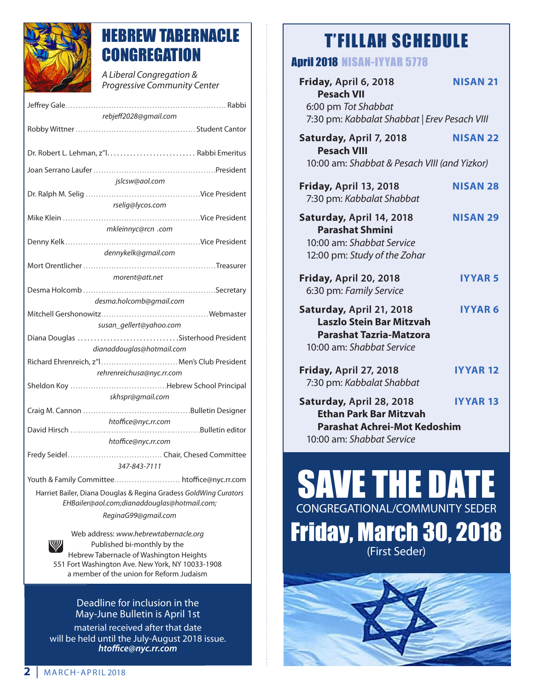

### HEBREW TABERNACLE **CONGREGATION**

*A Liberal Congregation & Progressive Community Center* 

| rebjeff2028@gmail.com                                            |  |
|------------------------------------------------------------------|--|
|                                                                  |  |
|                                                                  |  |
|                                                                  |  |
| jslcsw@aol.com                                                   |  |
|                                                                  |  |
| rselig@lycos.com                                                 |  |
|                                                                  |  |
| mkleinnyc@rcn .com                                               |  |
|                                                                  |  |
| dennykelk@gmail.com                                              |  |
|                                                                  |  |
| morent@att.net                                                   |  |
|                                                                  |  |
| desma.holcomb@gmail.com                                          |  |
|                                                                  |  |
| susan_gellert@yahoo.com                                          |  |
|                                                                  |  |
| dianaddouglas@hotmail.com                                        |  |
| Richard Ehrenreich, z"  Men's Club President                     |  |
| rehrenreichusa@nyc.rr.com                                        |  |
|                                                                  |  |
| skhspr@gmail.com                                                 |  |
|                                                                  |  |
| htoffice@nyc.rr.com                                              |  |
|                                                                  |  |
| htoffice@nyc.rr.com                                              |  |
| 347-843-7111                                                     |  |
| Youth & Family Committee htoffice@nyc.rr.com                     |  |
| Harriet Bailer, Diana Douglas & Regina Gradess GoldWing Curators |  |
| EHBailer@aol.com;dianaddouglas@hotmail.com;                      |  |
| ReginaG99@gmail.com                                              |  |

Web address: *www.hebrewtabernacle.org* Published bi-monthly by the Hebrew Tabernacle of Washington Heights 551 Fort Washington Ave. New York, NY 10033-1908 a member of the union for Reform Judaism

#### Deadline for inclusion in the May-June Bulletin is April 1st

material received after that date will be held until the July-August 2018 issue. *htoffice@nyc.rr.com*

## T'FILLAH SCHEDULE

### April 2018 NISAN-IYYAR 5778

| Friday, April 6, 2018<br><b>Pesach VII</b><br>6:00 pm Tot Shabbat<br>7:30 pm: Kabbalat Shabbat   Erev Pesach VIII             | <b>NISAN 21</b> |
|-------------------------------------------------------------------------------------------------------------------------------|-----------------|
| Saturday, April 7, 2018<br><b>Pesach VIII</b><br>10:00 am: Shabbat & Pesach VIII (and Yizkor)                                 | <b>NISAN 22</b> |
| Friday, April 13, 2018<br>7:30 pm: Kabbalat Shabbat                                                                           | <b>NISAN 28</b> |
| Saturday, April 14, 2018<br><b>Parashat Shmini</b><br>10:00 am: Shabbat Service<br>12:00 pm: Study of the Zohar               | <b>NISAN 29</b> |
| Friday, April 20, 2018<br>6:30 pm: Family Service                                                                             | <b>IYYAR5</b>   |
| Saturday, April 21, 2018<br><b>Laszlo Stein Bar Mitzvah</b><br><b>Parashat Tazria-Matzora</b><br>10:00 am: Shabbat Service    | <b>IYYAR 6</b>  |
| <b>Friday, April 27, 2018</b><br>7:30 pm: Kabbalat Shabbat                                                                    | <b>IYYAR 12</b> |
| Saturday, April 28, 2018<br><b>Ethan Park Bar Mitzvah</b><br><b>Parashat Achrei-Mot Kedoshim</b><br>10:00 am: Shabbat Service | <b>IYYAR 13</b> |

# SAVE THE DATE CONGREGATIONAL/COMMUNITY SEDER Friday, March 30, 2018 (First Seder)

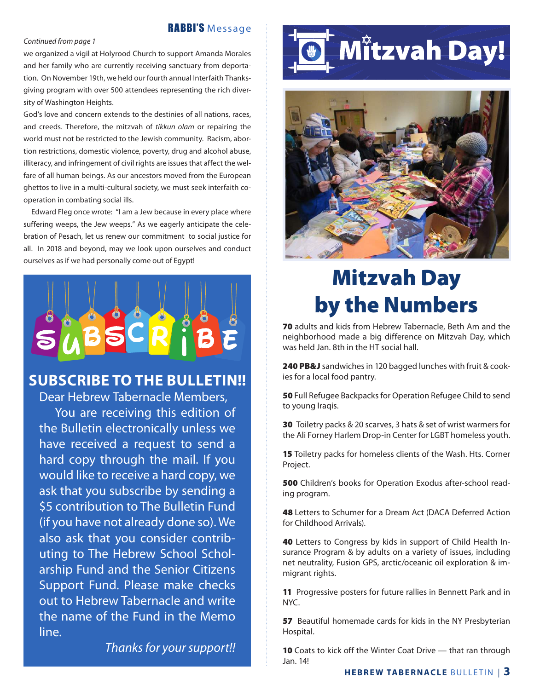#### RABBI'S Message

#### *Continued from page 1*

we organized a vigil at Holyrood Church to support Amanda Morales and her family who are currently receiving sanctuary from deportation. On November 19th, we held our fourth annual Interfaith Thanksgiving program with over 500 attendees representing the rich diversity of Washington Heights.

God's love and concern extends to the destinies of all nations, races, and creeds. Therefore, the mitzvah of *tikkun olam* or repairing the world must not be restricted to the Jewish community. Racism, abortion restrictions, domestic violence, poverty, drug and alcohol abuse, illiteracy, and infringement of civil rights are issues that affect the welfare of all human beings. As our ancestors moved from the European ghettos to live in a multi-cultural society, we must seek interfaith cooperation in combating social ills.

Edward Fleg once wrote: "I am a Jew because in every place where suffering weeps, the Jew weeps." As we eagerly anticipate the celebration of Pesach, let us renew our commitment to social justice for all. In 2018 and beyond, may we look upon ourselves and conduct ourselves as if we had personally come out of Egypt!



### **SUBSCRIBE TO THE BULLETIN!!**

Dear Hebrew Tabernacle Members, You are receiving this edition of the Bulletin electronically unless we have received a request to send a hard copy through the mail. If you would like to receive a hard copy, we ask that you subscribe by sending a \$5 contribution to The Bulletin Fund (if you have not already done so). We also ask that you consider contributing to The Hebrew School Scholarship Fund and the Senior Citizens Support Fund. Please make checks out to Hebrew Tabernacle and write the name of the Fund in the Memo line.

*Thanks for your support!!*

# **O Mitzvah Day!**



# Mitzvah Day by the Numbers

70 adults and kids from Hebrew Tabernacle, Beth Am and the neighborhood made a big difference on Mitzvah Day, which was held Jan. 8th in the HT social hall.

240 PB&J sandwiches in 120 bagged lunches with fruit & cookies for a local food pantry.

50 Full Refugee Backpacks for Operation Refugee Child to send to young Iraqis.

30 Toiletry packs & 20 scarves, 3 hats & set of wrist warmers for the Ali Forney Harlem Drop-in Center for LGBT homeless youth.

**15** Toiletry packs for homeless clients of the Wash. Hts. Corner Project.

500 Children's books for Operation Exodus after-school reading program.

48 Letters to Schumer for a Dream Act (DACA Deferred Action for Childhood Arrivals).

40 Letters to Congress by kids in support of Child Health Insurance Program & by adults on a variety of issues, including net neutrality, Fusion GPS, arctic/oceanic oil exploration & immigrant rights.

11 Progressive posters for future rallies in Bennett Park and in NYC.

57 Beautiful homemade cards for kids in the NY Presbyterian Hospital.

**10** Coats to kick off the Winter Coat Drive — that ran through Jan. 14!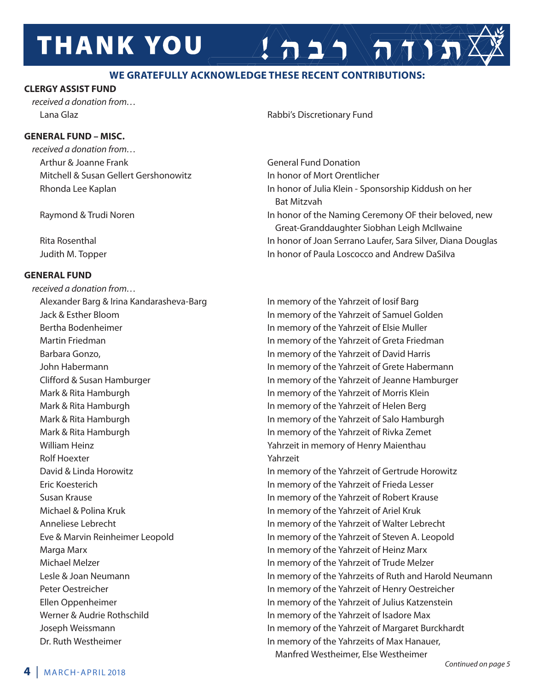# **THANK YOU**

#### **WE GRATEFULLY ACKNOWLEDGE THESE RECENT CONTRIBUTIONS:**

#### **CLERGY ASSIST FUND**

*received a donation from…*

#### **GENERAL FUND – MISC.**

*received a donation from…* Arthur & Joanne Frank General Fund Donation Mitchell & Susan Gellert Gershonowitz **In honor of Mort Orentlicher** 

#### **GENERAL FUND**

*received a donation from…* Alexander Barg & Irina Kandarasheva-Barg In memory of the Yahrzeit of Iosif Barg Bertha Bodenheimer **In the United States and States In memory of the Yahrzeit of Elsie Muller**  Barbara Gonzo, In memory of the Yahrzeit of David Harris Mark & Rita Hamburgh **In memory of the Yahrzeit of Morris Klein** Mark & Rita Hamburgh **In memory of the Yahrzeit of Helen Berg** In memory of the Yahrzeit of Helen Berg William Heinz **William Heinz** Yahrzeit in memory of Henry Maienthau Rolf Hoexter The Yahrzeit Michael & Polina Kruk In memory of the Yahrzeit of Ariel Kruk Marga Marx In memory of the Yahrzeit of Heinz Marx Werner & Audrie Rothschild **In memory of the Yahrzeit of Isadore Max** 

Lana Glaz **Rabbi's Discretionary Fund** 

Rhonda Lee Kaplan In honor of Julia Klein - Sponsorship Kiddush on her Bat Mitzvah Raymond & Trudi Noren **In honor of the Naming Ceremony OF their beloved**, new Great-Granddaughter Siobhan Leigh McIlwaine Rita Rosenthal In honor of Joan Serrano Laufer, Sara Silver, Diana Douglas Judith M. Topper **In honor of Paula Loscocco and Andrew DaSilva** 

 $\left( \left. \frac{1}{2} \right) \sqrt{\pi N} \right)$ 

 Jack & Esther Bloom In memory of the Yahrzeit of Samuel Golden Martin Friedman **In memory of the Yahrzeit of Greta Friedman**  John Habermann In memory of the Yahrzeit of Grete Habermann Clifford & Susan Hamburger In memory of the Yahrzeit of Jeanne Hamburger Mark & Rita Hamburgh In memory of the Yahrzeit of Salo Hamburgh Mark & Rita Hamburgh **In memory of the Yahrzeit of Rivka Zemet** 

 David & Linda Horowitz In memory of the Yahrzeit of Gertrude Horowitz Eric Koesterich In memory of the Yahrzeit of Frieda Lesser Susan Krause **In memory of the Yahrzeit of Robert Krause** In memory of the Yahrzeit of Robert Krause Anneliese Lebrecht **In memory of the Yahrzeit of Walter Lebrecht**  Eve & Marvin Reinheimer Leopold In memory of the Yahrzeit of Steven A. Leopold Michael Melzer In memory of the Yahrzeit of Trude Melzer Lesle & Joan Neumann **In memory of the Yahrzeits of Ruth and Harold Neumann** Peter Oestreicher **In memory of the Yahrzeit of Henry Oestreicher**  Ellen Oppenheimer In memory of the Yahrzeit of Julius Katzenstein Joseph Weissmann In memory of the Yahrzeit of Margaret Burckhardt Dr. Ruth Westheimer **In memory of the Yahrzeits of Max Hanauer**,

Manfred Westheimer, Else Westheimer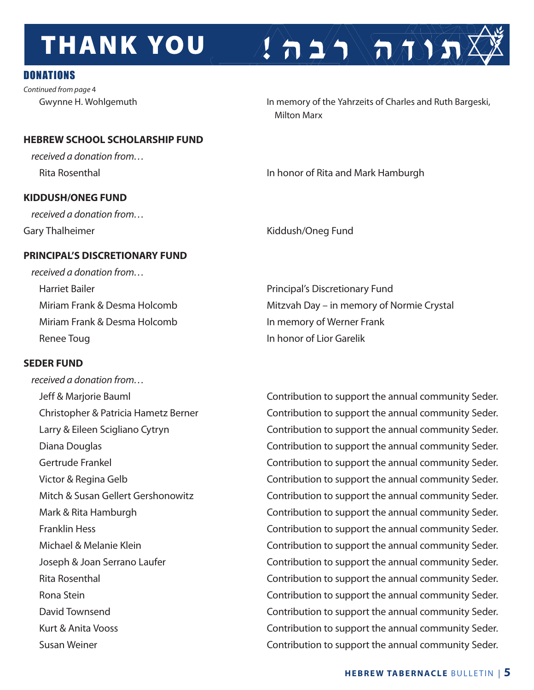# **THANK YOU**

### DONATIONS

*Continued from page* 4

Gwynne H. Wohlgemuth **In memory of the Yahrzeits of Charles and Ruth Bargeski**, Milton Marx

 $\left( \frac{1}{n} \sum_{i=1}^{n} \sqrt{n} \sqrt{n} \right)$ 

#### **HEBREW SCHOOL SCHOLARSHIP FUND**

*received a donation from…*

#### **KIDDUSH/ONEG FUND**

*received a donation from…*

Rita Rosenthal **In honor of Rita and Mark Hamburgh** 

Gary Thalheimer **Kiddush/Oneg Fund** 

### **PRINCIPAL'S DISCRETIONARY FUND**

*received a donation from…*  Harriet Bailer **Principal's Discretionary Fund** Miriam Frank & Desma Holcomb In memory of Werner Frank Renee Toug **In honor of Lior Garelik** 

### **SEDER FUND**

*received a donation from…*

Miriam Frank & Desma Holcomb Mitzvah Day – in memory of Normie Crystal

 Jeff & Marjorie Bauml Contribution to support the annual community Seder. Christopher & Patricia Hametz Berner Contribution to support the annual community Seder. Larry & Eileen Scigliano Cytryn **Chritical Contribution to support the annual community Seder.**  Diana Douglas Contribution to support the annual community Seder. Gertrude Frankel **Contribution to support the annual community Seder.** Victor & Regina Gelb **Contribution to support the annual community Seder.** Mitch & Susan Gellert Gershonowitz **Contribution to support the annual community Seder.** Mark & Rita Hamburgh **Contribution to support the annual community Seder.** Franklin Hess **Example 20** Contribution to support the annual community Seder. Michael & Melanie Klein **Contribution to support the annual community Seder.** Joseph & Joan Serrano Laufer **Contribution to support the annual community Seder.** Rita Rosenthal **Exercise 2** Contribution to support the annual community Seder. Rona Stein **Contribution to support the annual community Seder.** David Townsend **Contribution to support the annual community Seder.** Kurt & Anita Vooss **Contribution to support the annual community Seder.** Susan Weiner **Contribution to support the annual community Seder.** Contribution to support the annual community Seder.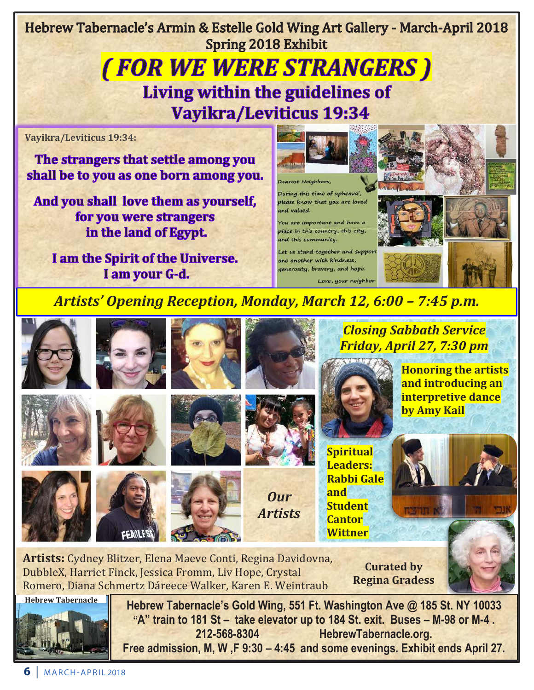Hebrew Tabernacle's Armin & Estelle Gold Wing Art Gallery - March-April 2018 **Spring 2018 Exhibit** 

# **(FOR WE WERE STRANGERS) Living within the guidelines of Vayikra/Leviticus 19:34**

**Vayikra/Leviticus 19:34:**

The strangers that settle among you shall be to you as one born among you.

And you shall love them as yourself, for you were strangers in the land of Egypt.

I am the Spirit of the Universe. I am your G-d.



#### Dearest Neighbors,

During this time of upheaval, please know that you are loved and valued

You are important and have a place in this country, this city, and this community.

Let us stand together and suppor one another with kindness, generosity, bravery, and hope.







### *Artists' Opening Reception, Monday, March 12, 6:00 – 7:45 p.m.*





**212-568-8304 HebrewTabernacle.org. Free admission, M, W ,F 9:30 – 4:45 and some evenings. Exhibit ends April 27.**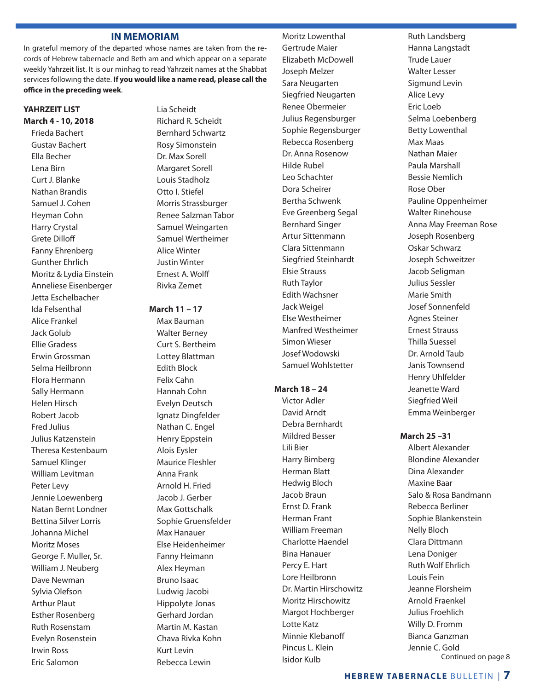#### **IN MEMORIAM**

In grateful memory of the departed whose names are taken from the records of Hebrew tabernacle and Beth am and which appear on a separate weekly Yahrzeit list. It is our minhag to read Yahrzeit names at the Shabbat services following the date. **If you would like a name read, please call the office in the preceding week**.

#### **YAHRZEIT LIST March 4 - 10, 2018**

Frieda Bachert Gustav Bachert Ella Becher Lena Birn Curt J. Blanke Nathan Brandis Samuel J. Cohen Heyman Cohn Harry Crystal Grete Dilloff Fanny Ehrenberg Gunther Ehrlich Moritz & Lydia Einstein Anneliese Eisenberger Jetta Eschelbacher Ida Felsenthal Alice Frankel Jack Golub Ellie Gradess Erwin Grossman Selma Heilbronn Flora Hermann Sally Hermann Helen Hirsch Robert Jacob Fred Julius Julius Katzenstein Theresa Kestenbaum Samuel Klinger William Levitman Peter Levy Jennie Loewenberg Natan Bernt Londner Bettina Silver Lorris Johanna Michel Moritz Moses George F. Muller, Sr. William J. Neuberg Dave Newman Sylvia Olefson Arthur Plaut Esther Rosenberg Ruth Rosenstam Evelyn Rosenstein Irwin Ross Eric Salomon

Lia Scheidt Richard R. Scheidt Bernhard Schwartz Rosy Simonstein Dr. Max Sorell Margaret Sorell Louis Stadholz Otto I. Stiefel Morris Strassburger Renee Salzman Tabor Samuel Weingarten Samuel Wertheimer Alice Winter Justin Winter Ernest A. Wolff Rivka Zemet

#### **March 11 – 17**

Max Bauman Walter Berney Curt S. Bertheim Lottey Blattman Edith Block Felix Cahn Hannah Cohn Evelyn Deutsch Ignatz Dingfelder Nathan C. Engel Henry Eppstein Alois Eysler Maurice Fleshler Anna Frank Arnold H. Fried Jacob J. Gerber Max Gottschalk Sophie Gruensfelder Max Hanauer Else Heidenheimer Fanny Heimann Alex Heyman Bruno Isaac Ludwig Jacobi Hippolyte Jonas Gerhard Jordan Martin M. Kastan Chava Rivka Kohn Kurt Levin Rebecca Lewin

Moritz Lowenthal Gertrude Maier Elizabeth McDowell Joseph Melzer Sara Neugarten Siegfried Neugarten Renee Obermeier Julius Regensburger Sophie Regensburger Rebecca Rosenberg Dr. Anna Rosenow Hilde Rubel Leo Schachter Dora Scheirer Bertha Schwenk Eve Greenberg Segal Bernhard Singer Artur Sittenmann Clara Sittenmann Siegfried Steinhardt Elsie Strauss Ruth Taylor Edith Wachsner Jack Weigel Else Westheimer Manfred Westheimer Simon Wieser Josef Wodowski Samuel Wohlstetter

#### **March 18 – 24**

Victor Adler David Arndt Debra Bernhardt Mildred Besser Lili Bier Harry Bimberg Herman Blatt Hedwig Bloch Jacob Braun Ernst D. Frank Herman Frant William Freeman Charlotte Haendel Bina Hanauer Percy E. Hart Lore Heilbronn Dr. Martin Hirschowitz Moritz Hirschowitz Margot Hochberger Lotte Katz Minnie Klebanoff Pincus L. Klein Isidor Kulb

Ruth Landsberg Hanna Langstadt Trude Lauer Walter Lesser Sigmund Levin Alice Levy Eric Loeb Selma Loebenberg Betty Lowenthal Max Maas Nathan Maier Paula Marshall Bessie Nemlich Rose Ober Pauline Oppenheimer Walter Rinehouse Anna May Freeman Rose Joseph Rosenberg Oskar Schwarz Joseph Schweitzer Jacob Seligman Julius Sessler Marie Smith Josef Sonnenfeld Agnes Steiner Ernest Strauss Thilla Suessel Dr. Arnold Taub Janis Townsend Henry Uhlfelder Jeanette Ward Siegfried Weil Emma Weinberger

#### **March 25 –31**

Albert Alexander Blondine Alexander Dina Alexander Maxine Baar Salo & Rosa Bandmann Rebecca Berliner Sophie Blankenstein Nelly Bloch Clara Dittmann Lena Doniger Ruth Wolf Ehrlich Louis Fein Jeanne Florsheim Arnold Fraenkel Julius Froehlich Willy D. Fromm Bianca Ganzman Jennie C. Gold Continued on page 8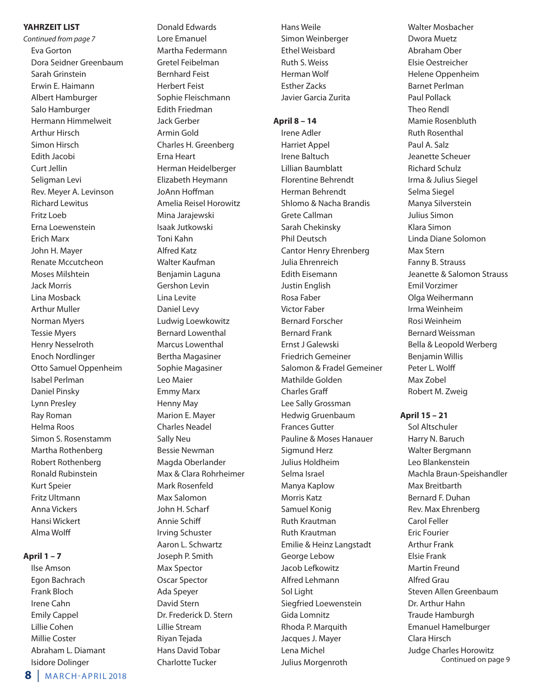#### **YAHRZEIT LIST**

*Continued from page 7* Eva Gorton Dora Seidner Greenbaum Sarah Grinstein Erwin E. Haimann Albert Hamburger Salo Hamburger Hermann Himmelweit Arthur Hirsch Simon Hirsch Edith Jacobi Curt Jellin Seligman Levi Rev. Meyer A. Levinson Richard Lewitus Fritz Loeb Erna Loewenstein Erich Marx John H. Mayer Renate Mccutcheon Moses Milshtein Jack Morris Lina Mosback Arthur Muller Norman Myers Tessie Myers Henry Nesselroth Enoch Nordlinger Otto Samuel Oppenheim Isabel Perlman Daniel Pinsky Lynn Presley Ray Roman Helma Roos Simon S. Rosenstamm Martha Rothenberg Robert Rothenberg Ronald Rubinstein Kurt Speier Fritz Ultmann Anna Vickers Hansi Wickert Alma Wolff

#### **April 1 – 7**

Ilse Amson Egon Bachrach Frank Bloch Irene Cahn Emily Cappel Lillie Cohen Millie Coster Abraham L. Diamant Isidore Dolinger

**8** | MARCH-APRIL 2018

Lore Emanuel Martha Federmann Gretel Feibelman Bernhard Feist Herbert Feist Sophie Fleischmann Edith Friedman Jack Gerber Armin Gold Charles H. Greenberg Erna Heart Herman Heidelberger Elizabeth Heymann JoAnn Hoffman Amelia Reisel Horowitz Mina Jarajewski Isaak Jutkowski Toni Kahn Alfred Katz Walter Kaufman Benjamin Laguna Gershon Levin Lina Levite Daniel Levy Ludwig Loewkowitz Bernard Lowenthal Marcus Lowenthal Bertha Magasiner Sophie Magasiner Leo Maier Emmy Marx Henny May Marion E. Mayer Charles Neadel Sally Neu Bessie Newman Magda Oberlander Max & Clara Rohrheimer Mark Rosenfeld Max Salomon John H. Scharf Annie Schiff Irving Schuster Aaron L. Schwartz Joseph P. Smith Max Spector Oscar Spector Ada Speyer David Stern Dr. Frederick D. Stern Lillie Stream Riyan Tejada Hans David Tobar Charlotte Tucker

Donald Edwards

Hans Weile Simon Weinberger Ethel Weisbard Ruth S. Weiss Herman Wolf Esther Zacks Javier Garcia Zurita

#### **April 8 – 14**

Irene Adler Harriet Appel Irene Baltuch Lillian Baumblatt Florentine Behrendt Herman Behrendt Shlomo & Nacha Brandis Grete Callman Sarah Chekinsky Phil Deutsch Cantor Henry Ehrenberg Julia Ehrenreich Edith Eisemann Justin English Rosa Faber Victor Faber Bernard Forscher Bernard Frank Ernst J Galewski Friedrich Gemeiner Salomon & Fradel Gemeiner Mathilde Golden Charles Graff Lee Sally Grossman Hedwig Gruenbaum Frances Gutter Pauline & Moses Hanauer Sigmund Herz Julius Holdheim Selma Israel Manya Kaplow Morris Katz Samuel Konig Ruth Krautman Ruth Krautman Emilie & Heinz Langstadt George Lebow Jacob Lefkowitz Alfred Lehmann Sol Light Siegfried Loewenstein Gida Lomnitz Rhoda P. Marquith Jacques J. Mayer Lena Michel Julius Morgenroth

Walter Mosbacher Dwora Muetz Abraham Ober Elsie Oestreicher Helene Oppenheim Barnet Perlman Paul Pollack Theo Rendl Mamie Rosenbluth Ruth Rosenthal Paul A. Salz Jeanette Scheuer Richard Schulz Irma & Julius Siegel Selma Siegel Manya Silverstein Julius Simon Klara Simon Linda Diane Solomon Max Stern Fanny B. Strauss Jeanette & Salomon Strauss Emil Vorzimer Olga Weihermann Irma Weinheim Rosi Weinheim Bernard Weissman Bella & Leopold Werberg Benjamin Willis Peter L. Wolff Max Zobel Robert M. Zweig

**April 15 – 21**

Sol Altschuler Harry N. Baruch Walter Bergmann Leo Blankenstein Machla Braun-Speishandler Max Breitbarth Bernard F. Duhan Rev. Max Ehrenberg Carol Feller Eric Fourier Arthur Frank Elsie Frank Martin Freund Alfred Grau Steven Allen Greenbaum Dr. Arthur Hahn Traude Hamburgh Emanuel Hamelburger Clara Hirsch Judge Charles Horowitz Continued on page 9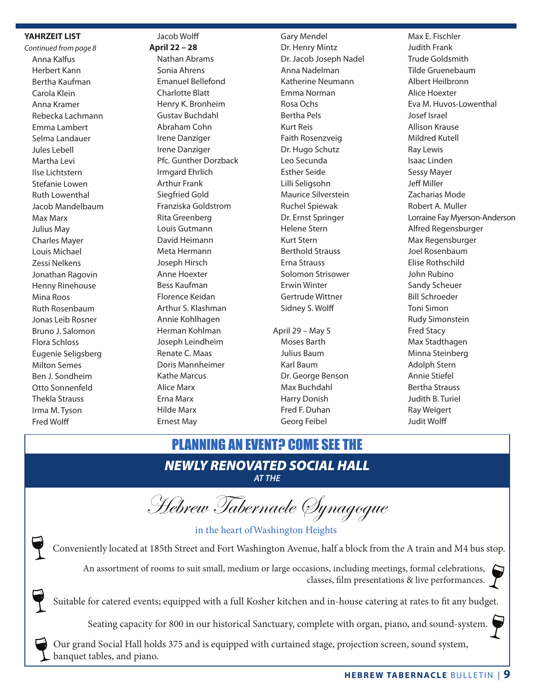#### **YAHRZEIT LIST**

*Continued from page 8* Anna Kalfus Herbert Kann Bertha Kaufman Carola Klein Anna Kramer Rebecka Lachmann Emma Lambert Selma Landauer Jules Lebell Martha Levi Ilse Lichtstern Stefanie Lowen Ruth Lowenthal Jacob Mandelbaum Max Marx Julius May Charles Mayer Louis Michael Zessi Nelkens Jonathan Ragovin Henny Rinehouse Mina Roos Ruth Rosenbaum Jonas Leib Rosner Bruno J. Salomon Flora Schloss Eugenie Seligsberg Milton Semes Ben J. Sondheim Otto Sonnenfeld Thekla Strauss Irma M. Tyson Fred Wolff

#### Jacob Wolff

**April 22 – 28** Nathan Abrams Sonia Ahrens Emanuel Bellefond Charlotte Blatt Henry K. Bronheim Gustav Buchdahl Abraham Cohn Irene Danziger Irene Danziger Pfc. Gunther Dorzback Irmgard Ehrlich Arthur Frank Siegfried Gold Franziska Goldstrom Rita Greenberg Louis Gutmann David Heimann Meta Hermann Joseph Hirsch Anne Hoexter Bess Kaufman Florence Keidan Arthur S. Klashman Annie Kohlhagen Herman Kohlman Joseph Leindheim Renate C. Maas Doris Mannheimer Kathe Marcus Alice Marx Erna Marx Hilde Marx Ernest May

Gary Mendel Dr. Henry Mintz Dr. Jacob Joseph Nadel Anna Nadelman Katherine Neumann Emma Norman Rosa Ochs Bertha Pels Kurt Reis Faith Rosenzveig Dr. Hugo Schutz Leo Secunda Esther Seide Lilli Seligsohn Maurice Silverstein Ruchel Spiewak Dr. Ernst Springer Helene Stern Kurt Stern Berthold Strauss Erna Strauss Solomon Strisower Erwin Winter Gertrude Wittner Sidney S. Wolff

April 29 – May 5 Moses Barth Julius Baum Karl Baum Dr. George Benson Max Buchdahl Harry Donish Fred F. Duhan Georg Feibel

Max E. Fischler Judith Frank Trude Goldsmith Tilde Gruenebaum Albert Heilbronn Alice Hoexter Eva M. Huvos-Lowenthal Josef Israel Allison Krause Mildred Kutell Ray Lewis Isaac Linden Sessy Mayer Jeff Miller Zacharias Mode Robert A. Muller Lorraine Fay Myerson-Anderson Alfred Regensburger Max Regensburger Joel Rosenbaum Elise Rothschild John Rubino Sandy Scheuer Bill Schroeder Toni Simon Rudy Simonstein Fred Stacy Max Stadthagen Minna Steinberg Adolph Stern Annie Stiefel Bertha Strauss Judith B. Turiel Ray Weigert Judit Wolff

### *NEWLY RENOVATED SOCIAL HALL* PLANNING AN EVENT? COME SEE THE

*AT THE*

Hebrew Tabernacle Synagogue

in the heart ofWashington Heights

Conveniently located at 185th Street and Fort Washington Avenue, half a block from the A train and M4 bus stop.

An assortment of rooms to suit small, medium or large occasions, including meetings, formal celebrations, classes, film presentations & live performances.

Suitable for catered events; equipped with a full Kosher kitchen and in-house catering at rates to fit any budget.

Seating capacity for 800 in our historical Sanctuary, complete with organ, piano, and sound-system.

Our grand Social Hall holds 375 and is equipped with curtained stage, projection screen, sound system, banquet tables, and piano.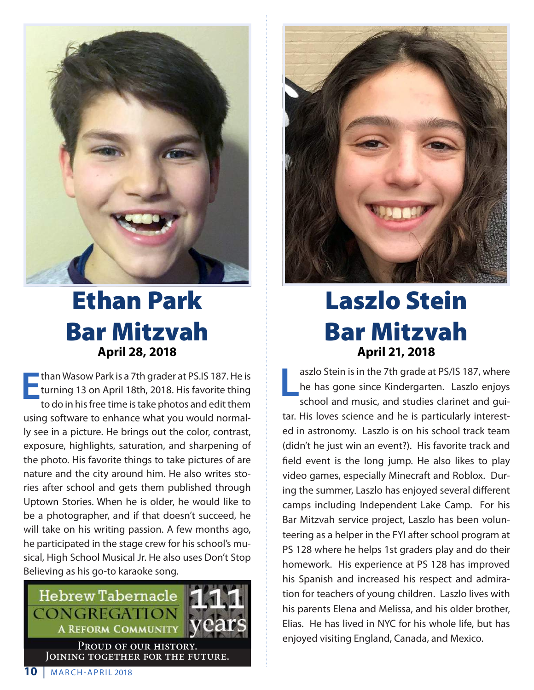

# Ethan Park Bar Mitzvah **April 28, 2018**

**E**than Wasow Park is a 7th grader at PS.IS 187. He is turning 13 on April 18th, 2018. His favorite thing to do in his free time is take photos and edit them using software to enhance what you would normally see in a picture. He brings out the color, contrast, exposure, highlights, saturation, and sharpening of the photo. His favorite things to take pictures of are nature and the city around him. He also writes stories after school and gets them published through Uptown Stories. When he is older, he would like to be a photographer, and if that doesn't succeed, he will take on his writing passion. A few months ago, he participated in the stage crew for his school's musical, High School Musical Jr. He also uses Don't Stop Believing as his go-to karaoke song.





# Laszlo Stein Bar Mitzvah **April 21, 2018**

**L** aszlo Stein is in the 7th grade at PS/IS 187, where he has gone since Kindergarten. Laszlo enjoys school and music, and studies clarinet and guitar. His loves science and he is particularly interested in astronomy. Laszlo is on his school track team (didn't he just win an event?). His favorite track and field event is the long jump. He also likes to play video games, especially Minecraft and Roblox. During the summer, Laszlo has enjoyed several different camps including Independent Lake Camp. For his Bar Mitzvah service project, Laszlo has been volunteering as a helper in the FYI after school program at PS 128 where he helps 1st graders play and do their homework. His experience at PS 128 has improved his Spanish and increased his respect and admiration for teachers of young children. Laszlo lives with his parents Elena and Melissa, and his older brother, Elias. He has lived in NYC for his whole life, but has enjoyed visiting England, Canada, and Mexico.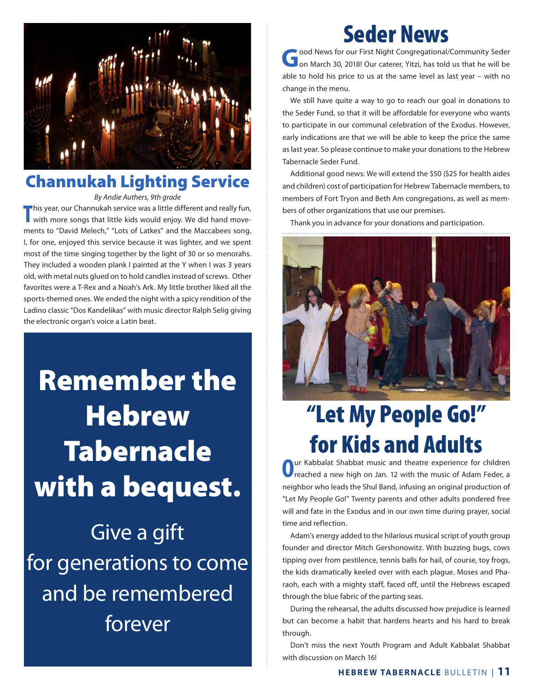

### Channukah Lighting Service

*By Andie Authers, 9th grade*

**T** his year, our Channukah service was a little different and really fun, with more songs that little kids would enjoy. We did hand movements to "David Melech," "Lots of Latkes" and the Maccabees song. I, for one, enjoyed this service because it was lighter, and we spent most of the time singing together by the light of 30 or so menorahs. They included a wooden plank I painted at the Y when I was 3 years old, with metal nuts glued on to hold candles instead of screws. Other favorites were a T-Rex and a Noah's Ark. My little brother liked all the sports-themed ones. We ended the night with a spicy rendition of the Ladino classic "Dos Kandelikas" with music director Ralph Selig giving the electronic organ's voice a Latin beat.

Remember the **Hebrew** Tabernacle with a bequest. Give a gift for generations to come and be remembered forever

# Seder News

**Jood News for our First Night Congregational/Community Seder** on March 30, 2018! Our caterer, Yitzi, has told us that he will be able to hold his price to us at the same level as last year – with no change in the menu.

We still have quite a way to go to reach our goal in donations to the Seder Fund, so that it will be affordable for everyone who wants to participate in our communal celebration of the Exodus. However, early indications are that we will be able to keep the price the same as last year. So please continue to make your donations to the Hebrew Tabernacle Seder Fund.

Additional good news: We will extend the \$50 (\$25 for health aides and children) cost of participation for Hebrew Tabernacle members, to members of Fort Tryon and Beth Am congregations, as well as members of other organizations that use our premises.

Thank you in advance for your donations and participation.



# "Let My People Go!" **for Kids and Adults**

**O**ur Kabbalat Shabbat music and theatre experience for children reached a new high on Jan. 12 with the music of Adam Feder, a neighbor who leads the Shul Band, infusing an original production of "Let My People Go!" Twenty parents and other adults pondered free will and fate in the Exodus and in our own time during prayer, social time and reflection.

Adam's energy added to the hilarious musical script of youth group founder and director Mitch Gershonowitz. With buzzing bugs, cows tipping over from pestilence, tennis balls for hail, of course, toy frogs, the kids dramatically keeled over with each plague. Moses and Pharaoh, each with a mighty staff, faced off, until the Hebrews escaped through the blue fabric of the parting seas.

During the rehearsal, the adults discussed how prejudice is learned but can become a habit that hardens hearts and his hard to break through.

Don't miss the next Youth Program and Adult Kabbalat Shabbat with discussion on March 16!